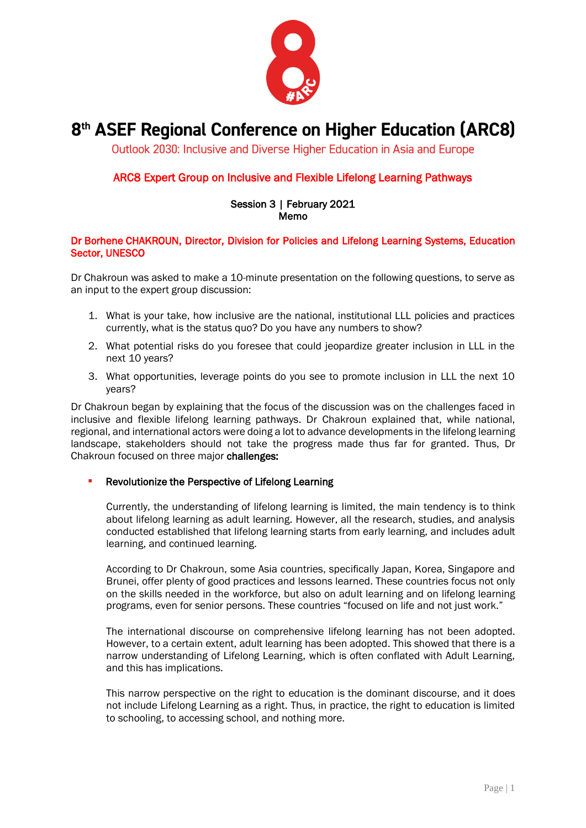

# 8<sup>th</sup> ASEF Regional Conference on Higher Education (ARC8)

Outlook 2030: Inclusive and Diverse Higher Education in Asia and Europe

# ARC8 Expert Group on Inclusive and Flexible Lifelong Learning Pathways

#### Session 3 | February 2021 Memo

## Dr Borhene CHAKROUN, Director, Division for Policies and Lifelong Learning Systems, Education Sector, UNESCO

Dr Chakroun was asked to make a 10-minute presentation on the following questions, to serve as an input to the expert group discussion:

- 1. What is your take, how inclusive are the national, institutional LLL policies and practices currently, what is the status quo? Do you have any numbers to show?
- 2. What potential risks do you foresee that could jeopardize greater inclusion in LLL in the next 10 years?
- 3. What opportunities, leverage points do you see to promote inclusion in LLL the next 10 years?

Dr Chakroun began by explaining that the focus of the discussion was on the challenges faced in inclusive and flexible lifelong learning pathways. Dr Chakroun explained that, while national, regional, and international actors were doing a lot to advance developments in the lifelong learning landscape, stakeholders should not take the progress made thus far for granted. Thus, Dr Chakroun focused on three major challenges:

### **• Revolutionize the Perspective of Lifelong Learning**

Currently, the understanding of lifelong learning is limited, the main tendency is to think about lifelong learning as adult learning. However, all the research, studies, and analysis conducted established that lifelong learning starts from early learning, and includes adult learning, and continued learning.

According to Dr Chakroun, some Asia countries, specifically Japan, Korea, Singapore and Brunei, offer plenty of good practices and lessons learned. These countries focus not only on the skills needed in the workforce, but also on adult learning and on lifelong learning programs, even for senior persons. These countries "focused on life and not just work."

The international discourse on comprehensive lifelong learning has not been adopted. However, to a certain extent, adult learning has been adopted. This showed that there is a narrow understanding of Lifelong Learning, which is often conflated with Adult Learning, and this has implications.

This narrow perspective on the right to education is the dominant discourse, and it does not include Lifelong Learning as a right. Thus, in practice, the right to education is limited to schooling, to accessing school, and nothing more.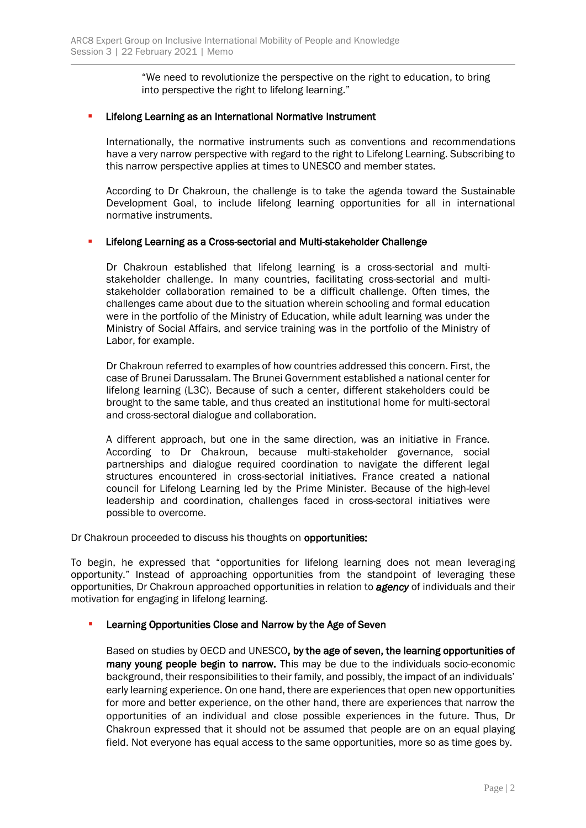"We need to revolutionize the perspective on the right to education, to bring into perspective the right to lifelong learning."

## **EXECTE:** Lifelong Learning as an International Normative Instrument

Internationally, the normative instruments such as conventions and recommendations have a very narrow perspective with regard to the right to Lifelong Learning. Subscribing to this narrow perspective applies at times to UNESCO and member states.

According to Dr Chakroun, the challenge is to take the agenda toward the Sustainable Development Goal, to include lifelong learning opportunities for all in international normative instruments.

### **E** Lifelong Learning as a Cross-sectorial and Multi-stakeholder Challenge

Dr Chakroun established that lifelong learning is a cross-sectorial and multistakeholder challenge. In many countries, facilitating cross-sectorial and multistakeholder collaboration remained to be a difficult challenge. Often times, the challenges came about due to the situation wherein schooling and formal education were in the portfolio of the Ministry of Education, while adult learning was under the Ministry of Social Affairs, and service training was in the portfolio of the Ministry of Labor, for example.

Dr Chakroun referred to examples of how countries addressed this concern. First, the case of Brunei Darussalam. The Brunei Government established a national center for lifelong learning (L3C). Because of such a center, different stakeholders could be brought to the same table, and thus created an institutional home for multi-sectoral and cross-sectoral dialogue and collaboration.

A different approach, but one in the same direction, was an initiative in France. According to Dr Chakroun, because multi-stakeholder governance, social partnerships and dialogue required coordination to navigate the different legal structures encountered in cross-sectorial initiatives. France created a national council for Lifelong Learning led by the Prime Minister. Because of the high-level leadership and coordination, challenges faced in cross-sectoral initiatives were possible to overcome.

Dr Chakroun proceeded to discuss his thoughts on **opportunities:** 

To begin, he expressed that "opportunities for lifelong learning does not mean leveraging opportunity." Instead of approaching opportunities from the standpoint of leveraging these opportunities, Dr Chakroun approached opportunities in relation to *agency* of individuals and their motivation for engaging in lifelong learning.

### Learning Opportunities Close and Narrow by the Age of Seven

Based on studies by OECD and UNESCO, by the age of seven, the learning opportunities of many young people begin to narrow. This may be due to the individuals socio-economic background, their responsibilities to their family, and possibly, the impact of an individuals' early learning experience. On one hand, there are experiences that open new opportunities for more and better experience, on the other hand, there are experiences that narrow the opportunities of an individual and close possible experiences in the future. Thus, Dr Chakroun expressed that it should not be assumed that people are on an equal playing field. Not everyone has equal access to the same opportunities, more so as time goes by.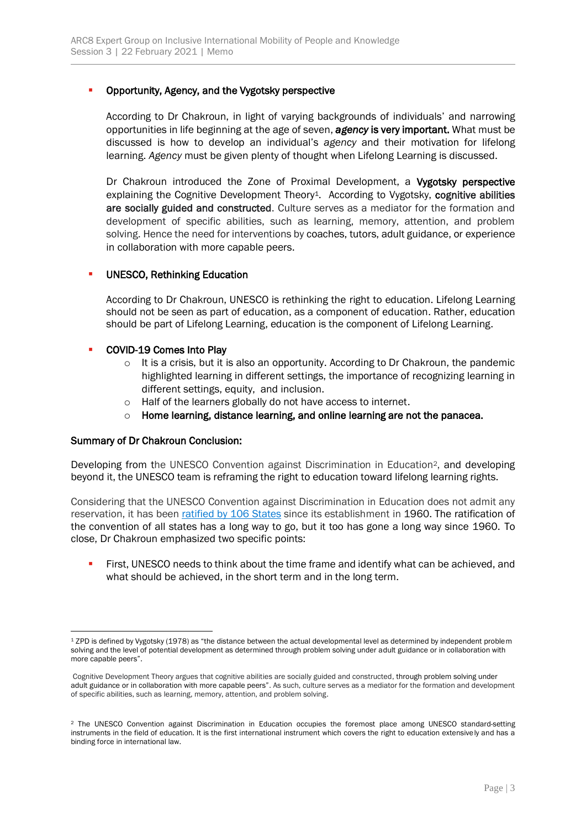## Opportunity, Agency, and the Vygotsky perspective

According to Dr Chakroun, in light of varying backgrounds of individuals' and narrowing opportunities in life beginning at the age of seven, *agency* is very important. What must be discussed is how to develop an individual's *agency* and their motivation for lifelong learning. *Agency* must be given plenty of thought when Lifelong Learning is discussed.

Dr Chakroun introduced the Zone of Proximal Development, a Vygotsky perspective explaining the Cognitive Development Theory<sup>1</sup>. According to Vygotsky, cognitive abilities are socially guided and constructed. Culture serves as a mediator for the formation and development of specific abilities, such as learning, memory, attention, and problem solving. Hence the need for interventions by coaches, tutors, adult guidance, or experience in collaboration with more capable peers.

## **UNESCO, Rethinking Education**

According to Dr Chakroun, UNESCO is rethinking the right to education. Lifelong Learning should not be seen as part of education, as a component of education. Rather, education should be part of Lifelong Learning, education is the component of Lifelong Learning.

## ▪ COVID-19 Comes Into Play

- $\circ$  It is a crisis, but it is also an opportunity. According to Dr Chakroun, the pandemic highlighted learning in different settings, the importance of recognizing learning in different settings, equity, and inclusion.
- o Half of the learners globally do not have access to internet.
- o Home learning, distance learning, and online learning are not the panacea.

### Summary of Dr Chakroun Conclusion:

Developing from the UNESCO Convention against Discrimination in Education2, and developing beyond it, the UNESCO team is reframing the right to education toward lifelong learning rights.

Considering that the UNESCO Convention against Discrimination in Education does not admit any reservation, it has been [ratified by 106 States](http://www.unesco.org/eri/la/convention.asp?KO=12949&language=E) since its establishment in 1960. The ratification of the convention of all states has a long way to go, but it too has gone a long way since 1960. To close, Dr Chakroun emphasized two specific points:

**EXECC** needs to think about the time frame and identify what can be achieved, and what should be achieved, in the short term and in the long term.

<sup>1</sup> ZPD is defined by Vygotsky (1978) as "the distance between the actual developmental level as determined by independent problem solving and the level of potential development as determined through problem solving under adult guidance or in collaboration with more capable peers".

Cognitive Development Theory argues that cognitive abilities are socially guided and constructed, through problem solving under adult guidance or in collaboration with more capable peers". As such, culture serves as a mediator for the formation and development of specific abilities, such as learning, memory, attention, and problem solving.

<sup>2</sup> The UNESCO Convention against Discrimination in Education occupies the foremost place among UNESCO standard-setting instruments in the field of education. It is the first international instrument which covers the right to education extensively and has a binding force in international law.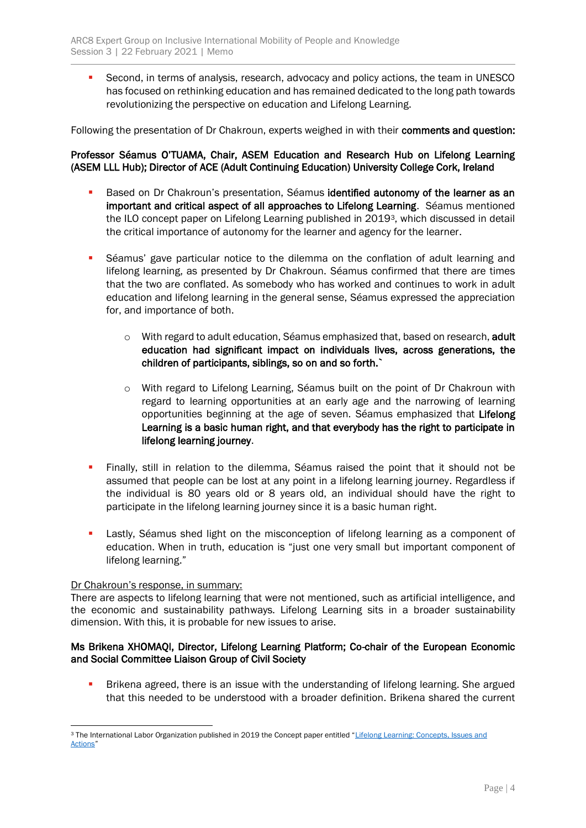**EXECT** Second, in terms of analysis, research, advocacy and policy actions, the team in UNESCO has focused on rethinking education and has remained dedicated to the long path towards revolutionizing the perspective on education and Lifelong Learning.

Following the presentation of Dr Chakroun, experts weighed in with their comments and question:

## Professor Séamus O'TUAMA, Chair, ASEM Education and Research Hub on Lifelong Learning (ASEM LLL Hub); Director of ACE (Adult Continuing Education) University College Cork, Ireland

- **EXECT** Based on Dr Chakroun's presentation, Séamus identified autonomy of the learner as an important and critical aspect of all approaches to Lifelong Learning. Séamus mentioned the ILO concept paper on Lifelong Learning published in 20193, which discussed in detail the critical importance of autonomy for the learner and agency for the learner.
- **•** Séamus' gave particular notice to the dilemma on the conflation of adult learning and lifelong learning, as presented by Dr Chakroun. Séamus confirmed that there are times that the two are conflated. As somebody who has worked and continues to work in adult education and lifelong learning in the general sense, Séamus expressed the appreciation for, and importance of both.
	- $\circ$  With regard to adult education, Séamus emphasized that, based on research, adult education had significant impact on individuals lives, across generations, the children of participants, siblings, so on and so forth.`
	- o With regard to Lifelong Learning, Séamus built on the point of Dr Chakroun with regard to learning opportunities at an early age and the narrowing of learning opportunities beginning at the age of seven. Séamus emphasized that Lifelong Learning is a basic human right, and that everybody has the right to participate in lifelong learning journey.
- **·** Finally, still in relation to the dilemma, Séamus raised the point that it should not be assumed that people can be lost at any point in a lifelong learning journey. Regardless if the individual is 80 years old or 8 years old, an individual should have the right to participate in the lifelong learning journey since it is a basic human right.
- **•** Lastly, Séamus shed light on the misconception of lifelong learning as a component of education. When in truth, education is "just one very small but important component of lifelong learning."

### Dr Chakroun's response, in summary:

There are aspects to lifelong learning that were not mentioned, such as artificial intelligence, and the economic and sustainability pathways. Lifelong Learning sits in a broader sustainability dimension. With this, it is probable for new issues to arise.

## Ms Brikena XHOMAQI, Director, Lifelong Learning Platform; Co-chair of the European Economic and Social Committee Liaison Group of Civil Society

Brikena agreed, there is an issue with the understanding of lifelong learning. She argued that this needed to be understood with a broader definition. Brikena shared the current

<sup>3</sup> The International Labor Organization published in 2019 the Concept paper entitled "Lifelong Learning: Concepts, Issues and [Actions](https://www.ikanos.eus/wp-content/uploads/2019/08/LifeLongLearning.Concept.Paper_.pdf)"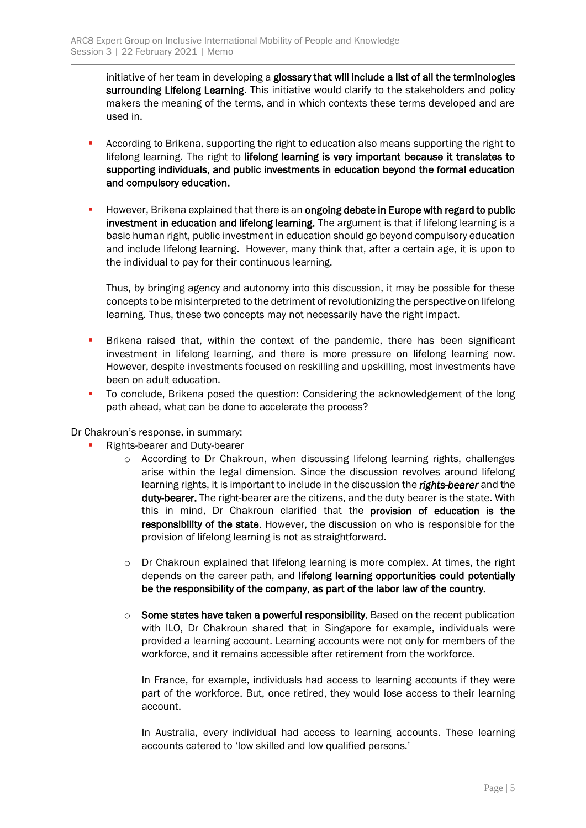initiative of her team in developing a glossary that will include a list of all the terminologies surrounding Lifelong Learning. This initiative would clarify to the stakeholders and policy makers the meaning of the terms, and in which contexts these terms developed and are used in.

- According to Brikena, supporting the right to education also means supporting the right to lifelong learning. The right to lifelong learning is very important because it translates to supporting individuals, and public investments in education beyond the formal education and compulsory education.
- **E** However, Brikena explained that there is an ongoing debate in Europe with regard to public investment in education and lifelong learning. The argument is that if lifelong learning is a basic human right, public investment in education should go beyond compulsory education and include lifelong learning. However, many think that, after a certain age, it is upon to the individual to pay for their continuous learning.

Thus, by bringing agency and autonomy into this discussion, it may be possible for these concepts to be misinterpreted to the detriment of revolutionizing the perspective on lifelong learning. Thus, these two concepts may not necessarily have the right impact.

- **•** Brikena raised that, within the context of the pandemic, there has been significant investment in lifelong learning, and there is more pressure on lifelong learning now. However, despite investments focused on reskilling and upskilling, most investments have been on adult education.
- To conclude, Brikena posed the question: Considering the acknowledgement of the long path ahead, what can be done to accelerate the process?

### Dr Chakroun's response, in summary:

- Rights-bearer and Duty-bearer
	- $\circ$  According to Dr Chakroun, when discussing lifelong learning rights, challenges arise within the legal dimension. Since the discussion revolves around lifelong learning rights, it is important to include in the discussion the *rights-bearer* and the duty-bearer. The right-bearer are the citizens, and the duty bearer is the state. With this in mind, Dr Chakroun clarified that the provision of education is the responsibility of the state. However, the discussion on who is responsible for the provision of lifelong learning is not as straightforward.
	- $\circ$  Dr Chakroun explained that lifelong learning is more complex. At times, the right depends on the career path, and lifelong learning opportunities could potentially be the responsibility of the company, as part of the labor law of the country.
	- $\circ$  Some states have taken a powerful responsibility. Based on the recent publication with ILO, Dr Chakroun shared that in Singapore for example, individuals were provided a learning account. Learning accounts were not only for members of the workforce, and it remains accessible after retirement from the workforce.

In France, for example, individuals had access to learning accounts if they were part of the workforce. But, once retired, they would lose access to their learning account.

In Australia, every individual had access to learning accounts. These learning accounts catered to 'low skilled and low qualified persons.'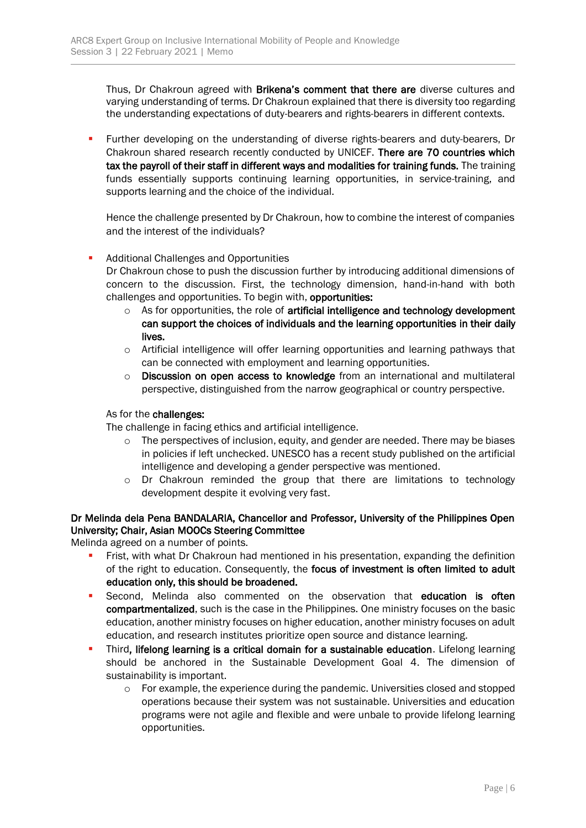Thus, Dr Chakroun agreed with Brikena's comment that there are diverse cultures and varying understanding of terms. Dr Chakroun explained that there is diversity too regarding the understanding expectations of duty-bearers and rights-bearers in different contexts.

**E** Further developing on the understanding of diverse rights-bearers and duty-bearers, Dr Chakroun shared research recently conducted by UNICEF. There are 70 countries which tax the payroll of their staff in different ways and modalities for training funds. The training funds essentially supports continuing learning opportunities, in service-training, and supports learning and the choice of the individual.

Hence the challenge presented by Dr Chakroun, how to combine the interest of companies and the interest of the individuals?

## Additional Challenges and Opportunities

Dr Chakroun chose to push the discussion further by introducing additional dimensions of concern to the discussion. First, the technology dimension, hand-in-hand with both challenges and opportunities. To begin with, opportunities:

- $\circ$  As for opportunities, the role of artificial intelligence and technology development can support the choices of individuals and the learning opportunities in their daily lives.
- o Artificial intelligence will offer learning opportunities and learning pathways that can be connected with employment and learning opportunities.
- $\circ$  Discussion on open access to knowledge from an international and multilateral perspective, distinguished from the narrow geographical or country perspective.

### As for the challenges:

The challenge in facing ethics and artificial intelligence.

- $\circ$  The perspectives of inclusion, equity, and gender are needed. There may be biases in policies if left unchecked. UNESCO has a recent study published on the artificial intelligence and developing a gender perspective was mentioned.
- $\circ$  Dr Chakroun reminded the group that there are limitations to technology development despite it evolving very fast.

## Dr Melinda dela Pena BANDALARIA, Chancellor and Professor, University of the Philippines Open University; Chair, Asian MOOCs Steering Committee

Melinda agreed on a number of points.

- Frist, with what Dr Chakroun had mentioned in his presentation, expanding the definition of the right to education. Consequently, the focus of investment is often limited to adult education only, this should be broadened.
- Second, Melinda also commented on the observation that education is often compartmentalized, such is the case in the Philippines. One ministry focuses on the basic education, another ministry focuses on higher education, another ministry focuses on adult education, and research institutes prioritize open source and distance learning.
- Third, lifelong learning is a critical domain for a sustainable education. Lifelong learning should be anchored in the Sustainable Development Goal 4. The dimension of sustainability is important.
	- $\circ$  For example, the experience during the pandemic. Universities closed and stopped operations because their system was not sustainable. Universities and education programs were not agile and flexible and were unbale to provide lifelong learning opportunities.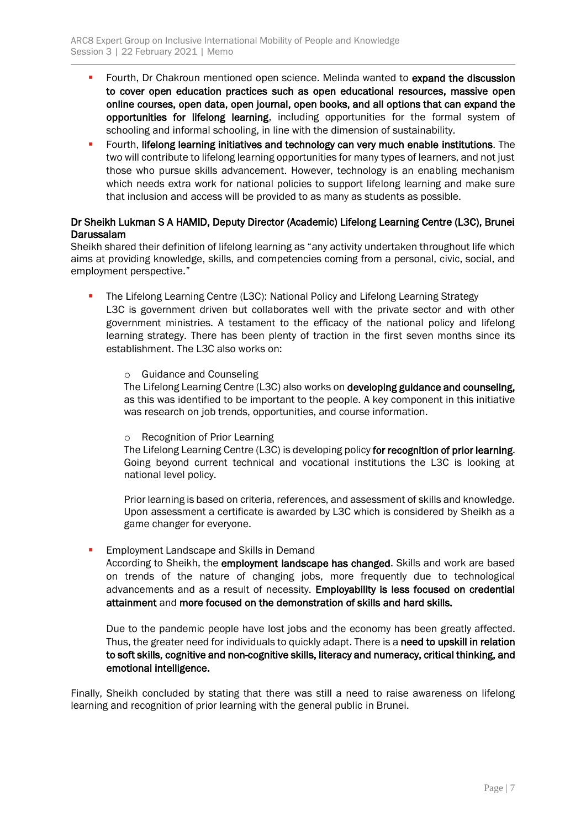- **•** Fourth, Dr Chakroun mentioned open science. Melinda wanted to expand the discussion to cover open education practices such as open educational resources, massive open online courses, open data, open journal, open books, and all options that can expand the opportunities for lifelong learning, including opportunities for the formal system of schooling and informal schooling, in line with the dimension of sustainability.
- **•** Fourth, lifelong learning initiatives and technology can very much enable institutions. The two will contribute to lifelong learning opportunities for many types of learners, and not just those who pursue skills advancement. However, technology is an enabling mechanism which needs extra work for national policies to support lifelong learning and make sure that inclusion and access will be provided to as many as students as possible.

## Dr Sheikh Lukman S A HAMID, Deputy Director (Academic) Lifelong Learning Centre (L3C), Brunei Darussalam

Sheikh shared their definition of lifelong learning as "any activity undertaken throughout life which aims at providing knowledge, skills, and competencies coming from a personal, civic, social, and employment perspective."

- The Lifelong Learning Centre (L3C): National Policy and Lifelong Learning Strategy L3C is government driven but collaborates well with the private sector and with other government ministries. A testament to the efficacy of the national policy and lifelong learning strategy. There has been plenty of traction in the first seven months since its establishment. The L3C also works on:
	- o Guidance and Counseling

The Lifelong Learning Centre (L3C) also works on developing guidance and counseling, as this was identified to be important to the people. A key component in this initiative was research on job trends, opportunities, and course information.

o Recognition of Prior Learning

The Lifelong Learning Centre (L3C) is developing policy for recognition of prior learning. Going beyond current technical and vocational institutions the L3C is looking at national level policy.

Prior learning is based on criteria, references, and assessment of skills and knowledge. Upon assessment a certificate is awarded by L3C which is considered by Sheikh as a game changer for everyone.

**Employment Landscape and Skills in Demand** 

According to Sheikh, the employment landscape has changed. Skills and work are based on trends of the nature of changing jobs, more frequently due to technological advancements and as a result of necessity. Employability is less focused on credential attainment and more focused on the demonstration of skills and hard skills.

Due to the pandemic people have lost jobs and the economy has been greatly affected. Thus, the greater need for individuals to quickly adapt. There is a need to upskill in relation to soft skills, cognitive and non-cognitive skills, literacy and numeracy, critical thinking, and emotional intelligence.

Finally, Sheikh concluded by stating that there was still a need to raise awareness on lifelong learning and recognition of prior learning with the general public in Brunei.